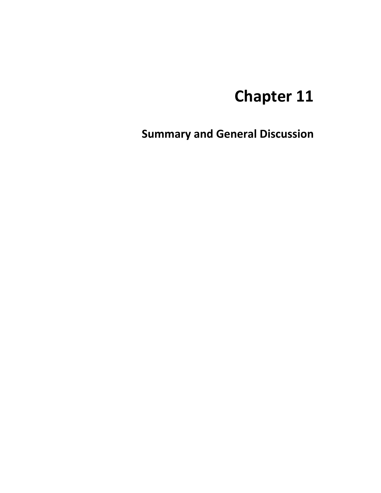# **Chapter 11**

**Summary and General Discussion**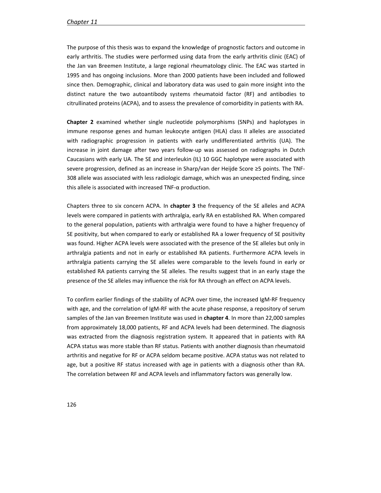The purpose of this thesis was to expand the knowledge of prognostic factors and outcome in early arthritis. The studies were performed using data from the early arthritis clinic (EAC) of the Jan van Breemen Institute, a large regional rheumatology clinic. The EAC was started in 1995 and has ongoing inclusions. More than 2000 patients have been included and followed since then. Demographic, clinical and laboratory data was used to gain more insight into the distinct nature the two autoantibody systems rheumatoid factor (RF) and antibodies to citrullinated proteins (ACPA), and to assess the prevalence of comorbidity in patients with RA.

**Chapter 2** examined whether single nucleotide polymorphisms (SNPs) and haplotypes in immune response genes and human leukocyte antigen (HLA) class II alleles are associated with radiographic progression in patients with early undifferentiated arthritis (UA). The increase in joint damage after two years follow-up was assessed on radiographs in Dutch Caucasians with early UA. The SE and interleukin (IL) 10 GGC haplotype were associated with severe progression, defined as an increase in Sharp/van der Heijde Score ≥5 points. The TNF-308 allele was associated with less radiologic damage, which was an unexpected finding, since this allele is associated with increased TNF-α production.

Chapters three to six concern ACPA. In **chapter 3** the frequency of the SE alleles and ACPA levels were compared in patients with arthralgia, early RA en established RA. When compared to the general population, patients with arthralgia were found to have a higher frequency of SE positivity, but when compared to early or established RA a lower frequency of SE positivity was found. Higher ACPA levels were associated with the presence of the SE alleles but only in arthralgia patients and not in early or established RA patients. Furthermore ACPA levels in arthralgia patients carrying the SE alleles were comparable to the levels found in early or established RA patients carrying the SE alleles. The results suggest that in an early stage the presence of the SE alleles may influence the risk for RA through an effect on ACPA levels.

To confirm earlier findings of the stability of ACPA over time, the increased IgM-RF frequency with age, and the correlation of IgM-RF with the acute phase response, a repository of serum samples of the Jan van Breemen Institute was used in **chapter 4**. In more than 22,000 samples from approximately 18,000 patients, RF and ACPA levels had been determined. The diagnosis was extracted from the diagnosis registration system. It appeared that in patients with RA ACPA status was more stable than RF status. Patients with another diagnosis than rheumatoid arthritis and negative for RF or ACPA seldom became positive. ACPA status was not related to age, but a positive RF status increased with age in patients with a diagnosis other than RA. The correlation between RF and ACPA levels and inflammatory factors was generally low.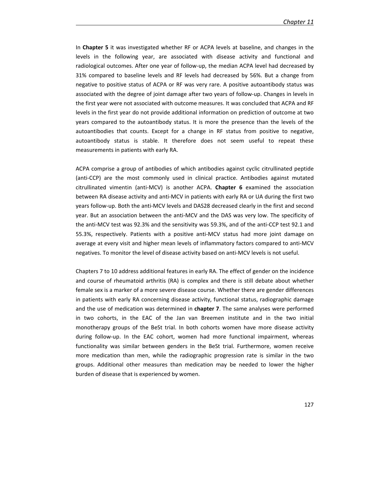In **Chapter 5** it was investigated whether RF or ACPA levels at baseline, and changes in the levels in the following year, are associated with disease activity and functional and radiological outcomes. After one year of follow-up, the median ACPA level had decreased by 31% compared to baseline levels and RF levels had decreased by 56%. But a change from negative to positive status of ACPA or RF was very rare. A positive autoantibody status was associated with the degree of joint damage after two years of follow-up. Changes in levels in the first year were not associated with outcome measures. It was concluded that ACPA and RF levels in the first year do not provide additional information on prediction of outcome at two years compared to the autoantibody status. It is more the presence than the levels of the autoantibodies that counts. Except for a change in RF status from positive to negative, autoantibody status is stable. It therefore does not seem useful to repeat these measurements in patients with early RA.

ACPA comprise a group of antibodies of which antibodies against cyclic citrullinated peptide (anti-CCP) are the most commonly used in clinical practice. Antibodies against mutated citrullinated vimentin (anti-MCV) is another ACPA. **Chapter 6** examined the association between RA disease activity and anti-MCV in patients with early RA or UA during the first two years follow-up. Both the anti-MCV levels and DAS28 decreased clearly in the first and second year. But an association between the anti-MCV and the DAS was very low. The specificity of the anti-MCV test was 92.3% and the sensitivity was 59.3%, and of the anti-CCP test 92.1 and 55.3%, respectively. Patients with a positive anti-MCV status had more joint damage on average at every visit and higher mean levels of inflammatory factors compared to anti-MCV negatives. To monitor the level of disease activity based on anti-MCV levels is not useful.

Chapters 7 to 10 address additional features in early RA. The effect of gender on the incidence and course of rheumatoid arthritis (RA) is complex and there is still debate about whether female sex is a marker of a more severe disease course. Whether there are gender differences in patients with early RA concerning disease activity, functional status, radiographic damage and the use of medication was determined in **chapter 7**. The same analyses were performed in two cohorts, in the EAC of the Jan van Breemen institute and in the two initial monotherapy groups of the BeSt trial. In both cohorts women have more disease activity during follow-up. In the EAC cohort, women had more functional impairment, whereas functionality was similar between genders in the BeSt trial. Furthermore, women receive more medication than men, while the radiographic progression rate is similar in the two groups. Additional other measures than medication may be needed to lower the higher burden of disease that is experienced by women.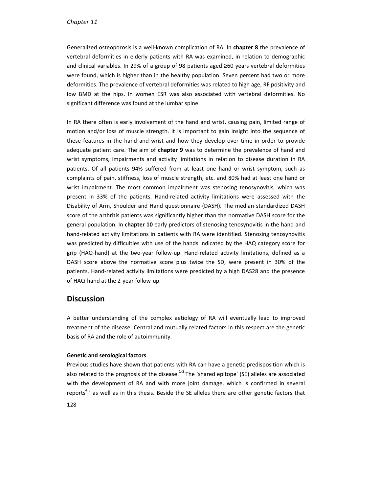Generalized osteoporosis is a well-known complication of RA. In **chapter 8** the prevalence of vertebral deformities in elderly patients with RA was examined, in relation to demographic and clinical variables. In 29% of a group of 98 patients aged ≥60 years vertebral deformities were found, which is higher than in the healthy population. Seven percent had two or more deformities. The prevalence of vertebral deformities was related to high age, RF positivity and low BMD at the hips. In women ESR was also associated with vertebral deformities. No significant difference was found at the lumbar spine.

In RA there often is early involvement of the hand and wrist, causing pain, limited range of motion and/or loss of muscle strength. It is important to gain insight into the sequence of these features in the hand and wrist and how they develop over time in order to provide adequate patient care. The aim of **chapter 9** was to determine the prevalence of hand and wrist symptoms, impairments and activity limitations in relation to disease duration in RA patients. Of all patients 94% suffered from at least one hand or wrist symptom, such as complaints of pain, stiffness, loss of muscle strength, etc. and 80% had at least one hand or wrist impairment. The most common impairment was stenosing tenosynovitis, which was present in 33% of the patients. Hand-related activity limitations were assessed with the Disability of Arm, Shoulder and Hand questionnaire (DASH). The median standardized DASH score of the arthritis patients was significantly higher than the normative DASH score for the general population. In **chapter 10** early predictors of stenosing tenosynovitis in the hand and hand-related activity limitations in patients with RA were identified. Stenosing tenosynovitis was predicted by difficulties with use of the hands indicated by the HAQ category score for grip (HAQ-hand) at the two-year follow-up. Hand-related activity limitations, defined as a DASH score above the normative score plus twice the SD, were present in 30% of the patients. Hand-related activity limitations were predicted by a high DAS28 and the presence of HAQ-hand at the 2-year follow-up.

### **Discussion**

A better understanding of the complex aetiology of RA will eventually lead to improved treatment of the disease. Central and mutually related factors in this respect are the genetic basis of RA and the role of autoimmunity.

#### **Genetic and serological factors**

128 Previous studies have shown that patients with RA can have a genetic predisposition which is also related to the prognosis of the disease.<sup>1-3</sup> The 'shared epitope' (SE) alleles are associated with the development of RA and with more joint damage, which is confirmed in several reports<sup>4,5</sup> as well as in this thesis. Beside the SE alleles there are other genetic factors that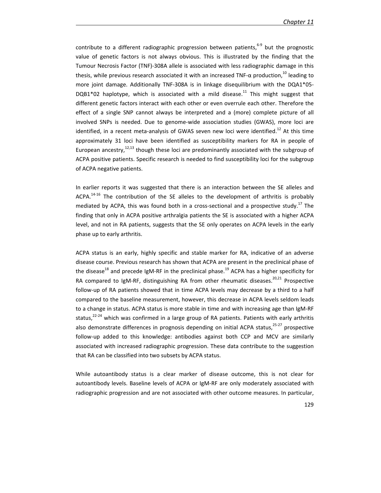contribute to a different radiographic progression between patients, $6-9$  but the prognostic value of genetic factors is not always obvious. This is illustrated by the finding that the Tumour Necrosis Factor (TNF)-308A allele is associated with less radiographic damage in this thesis, while previous research associated it with an increased TNF- $\alpha$  production,<sup>10</sup> leading to more joint damage. Additionally TNF-308A is in linkage disequilibrium with the DQA1\*05-  $DQB1*02$  haplotype, which is associated with a mild disease.<sup>11</sup> This might suggest that different genetic factors interact with each other or even overrule each other. Therefore the effect of a single SNP cannot always be interpreted and a (more) complete picture of all involved SNPs is needed. Due to genome-wide association studies (GWAS), more loci are identified, in a recent meta-analysis of GWAS seven new loci were identified.<sup>12</sup> At this time approximately 31 loci have been identified as susceptibility markers for RA in people of European ancestry, $12,13$  though these loci are predominantly associated with the subgroup of ACPA positive patients. Specific research is needed to find susceptibility loci for the subgroup of ACPA negative patients.

In earlier reports it was suggested that there is an interaction between the SE alleles and ACPA.<sup>14-16</sup> The contribution of the SE alleles to the development of arthritis is probably mediated by ACPA, this was found both in a cross-sectional and a prospective study.<sup>17</sup> The finding that only in ACPA positive arthralgia patients the SE is associated with a higher ACPA level, and not in RA patients, suggests that the SE only operates on ACPA levels in the early phase up to early arthritis.

ACPA status is an early, highly specific and stable marker for RA, indicative of an adverse disease course. Previous research has shown that ACPA are present in the preclinical phase of the disease<sup>18</sup> and precede IgM-RF in the preclinical phase.<sup>19</sup> ACPA has a higher specificity for RA compared to IgM-RF, distinguishing RA from other rheumatic diseases.<sup>20,21</sup> Prospective follow-up of RA patients showed that in time ACPA levels may decrease by a third to a half compared to the baseline measurement, however, this decrease in ACPA levels seldom leads to a change in status. ACPA status is more stable in time and with increasing age than IgM-RF status, $22-24$  which was confirmed in a large group of RA patients. Patients with early arthritis also demonstrate differences in prognosis depending on initial ACPA status, $25-27$  prospective follow-up added to this knowledge: antibodies against both CCP and MCV are similarly associated with increased radiographic progression. These data contribute to the suggestion that RA can be classified into two subsets by ACPA status.

While autoantibody status is a clear marker of disease outcome, this is not clear for autoantibody levels. Baseline levels of ACPA or IgM-RF are only moderately associated with radiographic progression and are not associated with other outcome measures. In particular,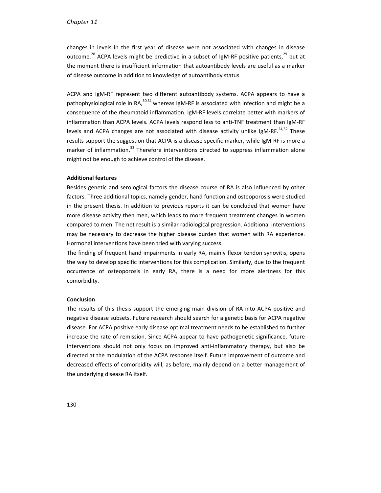changes in levels in the first year of disease were not associated with changes in disease outcome.<sup>28</sup> ACPA levels might be predictive in a subset of IgM-RF positive patients,<sup>29</sup> but at the moment there is insufficient information that autoantibody levels are useful as a marker of disease outcome in addition to knowledge of autoantibody status.

ACPA and IgM-RF represent two different autoantibody systems. ACPA appears to have a pathophysiological role in RA, $^{30,31}$  whereas IgM-RF is associated with infection and might be a consequence of the rheumatoid inflammation. IgM-RF levels correlate better with markers of inflammation than ACPA levels. ACPA levels respond less to anti-TNF treatment than IgM-RF levels and ACPA changes are not associated with disease activity unlike IgM-RF. $^{24,32}$  These results support the suggestion that ACPA is a disease specific marker, while IgM-RF is more a marker of inflammation.<sup>33</sup> Therefore interventions directed to suppress inflammation alone might not be enough to achieve control of the disease.

#### **Additional features**

Besides genetic and serological factors the disease course of RA is also influenced by other factors. Three additional topics, namely gender, hand function and osteoporosis were studied in the present thesis. In addition to previous reports it can be concluded that women have more disease activity then men, which leads to more frequent treatment changes in women compared to men. The net result is a similar radiological progression. Additional interventions may be necessary to decrease the higher disease burden that women with RA experience. Hormonal interventions have been tried with varying success.

The finding of frequent hand impairments in early RA, mainly flexor tendon synovitis, opens the way to develop specific interventions for this complication. Similarly, due to the frequent occurrence of osteoporosis in early RA, there is a need for more alertness for this comorbidity.

#### **Conclusion**

The results of this thesis support the emerging main division of RA into ACPA positive and negative disease subsets. Future research should search for a genetic basis for ACPA negative disease. For ACPA positive early disease optimal treatment needs to be established to further increase the rate of remission. Since ACPA appear to have pathogenetic significance, future interventions should not only focus on improved anti-inflammatory therapy, but also be directed at the modulation of the ACPA response itself. Future improvement of outcome and decreased effects of comorbidity will, as before, mainly depend on a better management of the underlying disease RA itself.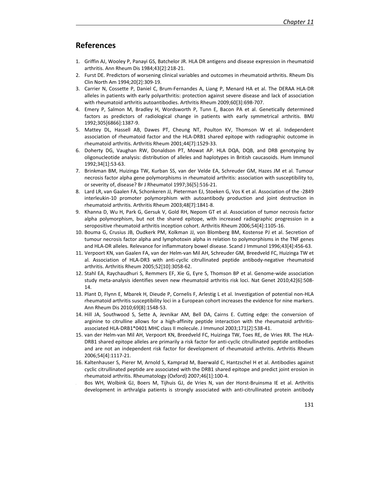## **References**

- 1. Griffin AJ, Wooley P, Panayi GS, Batchelor JR. HLA DR antigens and disease expression in rheumatoid arthritis. Ann Rheum Dis 1984;43[2]:218-21.
- 2. Furst DE. Predictors of worsening clinical variables and outcomes in rheumatoid arthritis. Rheum Dis Clin North Am 1994;20[2]:309-19.
- 3. Carrier N, Cossette P, Daniel C, Brum-Fernandes A, Liang P, Menard HA et al. The DERAA HLA-DR alleles in patients with early polyarthritis: protection against severe disease and lack of association with rheumatoid arthritis autoantibodies. Arthritis Rheum 2009;60[3]:698-707.
- 4. Emery P, Salmon M, Bradley H, Wordsworth P, Tunn E, Bacon PA et al. Genetically determined factors as predictors of radiological change in patients with early symmetrical arthritis. BMJ 1992;305[6866]:1387-9.
- 5. Mattey DL, Hassell AB, Dawes PT, Cheung NT, Poulton KV, Thomson W et al. Independent association of rheumatoid factor and the HLA-DRB1 shared epitope with radiographic outcome in rheumatoid arthritis. Arthritis Rheum 2001;44[7]:1529-33.
- 6. Doherty DG, Vaughan RW, Donaldson PT, Mowat AP. HLA DQA, DQB, and DRB genotyping by oligonucleotide analysis: distribution of alleles and haplotypes in British caucasoids. Hum Immunol 1992;34[1]:53-63.
- 7. Brinkman BM, Huizinga TW, Kurban SS, van der Velde EA, Schreuder GM, Hazes JM et al. Tumour necrosis factor alpha gene polymorphisms in rheumatoid arthritis: association with susceptibility to, or severity of, disease? Br J Rheumatol 1997;36[5]:516-21.
- 8. Lard LR, van Gaalen FA, Schonkeren JJ, Pieterman EJ, Stoeken G, Vos K et al. Association of the -2849 interleukin-10 promoter polymorphism with autoantibody production and joint destruction in rheumatoid arthritis. Arthritis Rheum 2003;48[7]:1841-8.
- 9. Khanna D, Wu H, Park G, Gersuk V, Gold RH, Nepom GT et al. Association of tumor necrosis factor alpha polymorphism, but not the shared epitope, with increased radiographic progression in a seropositive rheumatoid arthritis inception cohort. Arthritis Rheum 2006;54[4]:1105-16.
- 10. Bouma G, Crusius JB, Oudkerk PM, Kolkman JJ, von Blomberg BM, Kostense PJ et al. Secretion of tumour necrosis factor alpha and lymphotoxin alpha in relation to polymorphisms in the TNF genes and HLA-DR alleles. Relevance for inflammatory bowel disease. Scand J Immunol 1996;43[4]:456-63.
- 11. Verpoort KN, van Gaalen FA, van der Helm-van Mil AH, Schreuder GM, Breedveld FC, Huizinga TW et al. Association of HLA-DR3 with anti-cyclic citrullinated peptide antibody-negative rheumatoid arthritis. Arthritis Rheum 2005;52[10]:3058-62.
- 12. Stahl EA, Raychaudhuri S, Remmers EF, Xie G, Eyre S, Thomson BP et al. Genome-wide association study meta-analysis identifies seven new rheumatoid arthritis risk loci. Nat Genet 2010;42[6]:508- 14.
- 13. Plant D, Flynn E, Mbarek H, Dieude P, Cornelis F, Arlestig L et al. Investigation of potential non-HLA rheumatoid arthritis susceptibility loci in a European cohort increases the evidence for nine markers. Ann Rheum Dis 2010;69[8]:1548-53.
- 14. Hill JA, Southwood S, Sette A, Jevnikar AM, Bell DA, Cairns E. Cutting edge: the conversion of arginine to citrulline allows for a high-affinity peptide interaction with the rheumatoid arthritisassociated HLA-DRB1\*0401 MHC class II molecule. J Immunol 2003;171[2]:538-41.
- 15. van der Helm-van Mil AH, Verpoort KN, Breedveld FC, Huizinga TW, Toes RE, de Vries RR. The HLA-DRB1 shared epitope alleles are primarily a risk factor for anti-cyclic citrullinated peptide antibodies and are not an independent risk factor for development of rheumatoid arthritis. Arthritis Rheum 2006;54[4]:1117-21.
- 16. Kaltenhauser S, Pierer M, Arnold S, Kamprad M, Baerwald C, Hantzschel H et al. Antibodies against cyclic citrullinated peptide are associated with the DRB1 shared epitope and predict joint erosion in rheumatoid arthritis. Rheumatology (Oxford) 2007;46[1]:100-4.
- 17. Bos WH, Wolbink GJ, Boers M, Tijhuis GJ, de Vries N, van der Horst-Bruinsma IE et al. Arthritis development in arthralgia patients is strongly associated with anti-citrullinated protein antibody